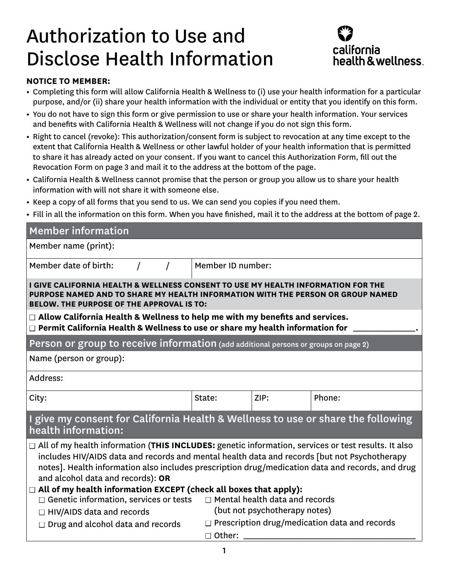## Authorization to Use and Disclose Health Information



## **NOTICE TO MEMBER:**

- **•** Completing this form will allow California Health & Wellness to (i) use your health information for a particular purpose, and/or (ii) share your health information with the individual or entity that you identify on this form.
- **•** You do not have to sign this form or give permission to use or share your health information. Your services and benefits with California Health & Wellness will not change if you do not sign this form.
- **•** Right to cancel (revoke): This authorization/consent form is subject to revocation at any time except to the extent that California Health & Wellness or other lawful holder of your health information that is permitted to share it has already acted on your consent. If you want to cancel this Authorization Form, fill out the Revocation Form on page 3 and mail it to the address at the bottom of the page.
- **•** California Health & Wellness cannot promise that the person or group you allow us to share your health information with will not share it with someone else.
- **•** Keep a copy of all forms that you send to us. We can send you copies if you need them.
- **•** Fill in all the information on this form. When you have finished, mail it to the address at the bottom of page 2.

| <b>Member information</b>                                                                                                                                                                                                                                                                                                                                                                                                                                                                                              |                                                                       |      |        |  |  |  |  |
|------------------------------------------------------------------------------------------------------------------------------------------------------------------------------------------------------------------------------------------------------------------------------------------------------------------------------------------------------------------------------------------------------------------------------------------------------------------------------------------------------------------------|-----------------------------------------------------------------------|------|--------|--|--|--|--|
| Member name (print):                                                                                                                                                                                                                                                                                                                                                                                                                                                                                                   |                                                                       |      |        |  |  |  |  |
| Member date of birth:                                                                                                                                                                                                                                                                                                                                                                                                                                                                                                  | Member ID number:                                                     |      |        |  |  |  |  |
| I GIVE CALIFORNIA HEALTH & WELLNESS CONSENT TO USE MY HEALTH INFORMATION FOR THE<br>PURPOSE NAMED AND TO SHARE MY HEALTH INFORMATION WITH THE PERSON OR GROUP NAMED<br><b>BELOW. THE PURPOSE OF THE APPROVAL IS TO:</b>                                                                                                                                                                                                                                                                                                |                                                                       |      |        |  |  |  |  |
| $\Box$ Allow California Health & Wellness to help me with my benefits and services.<br>$\Box$ Permit California Health & Wellness to use or share my health information for                                                                                                                                                                                                                                                                                                                                            |                                                                       |      |        |  |  |  |  |
| Person or group to receive information (add additional persons or groups on page 2)                                                                                                                                                                                                                                                                                                                                                                                                                                    |                                                                       |      |        |  |  |  |  |
| Name (person or group):                                                                                                                                                                                                                                                                                                                                                                                                                                                                                                |                                                                       |      |        |  |  |  |  |
| Address:                                                                                                                                                                                                                                                                                                                                                                                                                                                                                                               |                                                                       |      |        |  |  |  |  |
| City:                                                                                                                                                                                                                                                                                                                                                                                                                                                                                                                  | State:                                                                | ZIP: | Phone: |  |  |  |  |
| I give my consent for California Health & Wellness to use or share the following<br>health information:                                                                                                                                                                                                                                                                                                                                                                                                                |                                                                       |      |        |  |  |  |  |
| $\Box$ All of my health information (THIS INCLUDES: genetic information, services or test results. It also<br>includes HIV/AIDS data and records and mental health data and records [but not Psychotherapy<br>notes]. Health information also includes prescription drug/medication data and records, and drug<br>and alcohol data and records): OR<br>$\Box$ All of my health information EXCEPT (check all boxes that apply):<br>$\Box$ Genetic information, services or tests $\Box$ Mental health data and records |                                                                       |      |        |  |  |  |  |
| $\Box$ HIV/AIDS data and records                                                                                                                                                                                                                                                                                                                                                                                                                                                                                       | (but not psychotherapy notes)                                         |      |        |  |  |  |  |
| $\Box$ Drug and alcohol data and records                                                                                                                                                                                                                                                                                                                                                                                                                                                                               | $\Box$ Prescription drug/medication data and records<br>$\Box$ Other: |      |        |  |  |  |  |
|                                                                                                                                                                                                                                                                                                                                                                                                                                                                                                                        |                                                                       |      |        |  |  |  |  |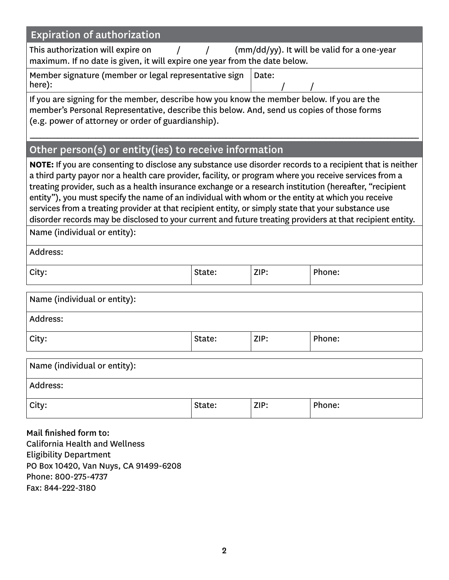| <b>Expiration of authorization</b>                                                                                                                                                                                                                                                                                                                                                                                                                                                                                                                                                                                                                                                      |        |      |        |  |  |  |  |
|-----------------------------------------------------------------------------------------------------------------------------------------------------------------------------------------------------------------------------------------------------------------------------------------------------------------------------------------------------------------------------------------------------------------------------------------------------------------------------------------------------------------------------------------------------------------------------------------------------------------------------------------------------------------------------------------|--------|------|--------|--|--|--|--|
| (mm/dd/yy). It will be valid for a one-year<br>This authorization will expire on<br>$\sqrt{2}$<br>$\sqrt{ }$                                                                                                                                                                                                                                                                                                                                                                                                                                                                                                                                                                            |        |      |        |  |  |  |  |
| maximum. If no date is given, it will expire one year from the date below.                                                                                                                                                                                                                                                                                                                                                                                                                                                                                                                                                                                                              |        |      |        |  |  |  |  |
| Member signature (member or legal representative sign<br>Date:<br>here):                                                                                                                                                                                                                                                                                                                                                                                                                                                                                                                                                                                                                |        |      |        |  |  |  |  |
| If you are signing for the member, describe how you know the member below. If you are the<br>member's Personal Representative, describe this below. And, send us copies of those forms<br>(e.g. power of attorney or order of guardianship).                                                                                                                                                                                                                                                                                                                                                                                                                                            |        |      |        |  |  |  |  |
| Other person(s) or entity(ies) to receive information                                                                                                                                                                                                                                                                                                                                                                                                                                                                                                                                                                                                                                   |        |      |        |  |  |  |  |
| NOTE: If you are consenting to disclose any substance use disorder records to a recipient that is neither<br>a third party payor nor a health care provider, facility, or program where you receive services from a<br>treating provider, such as a health insurance exchange or a research institution (hereafter, "recipient<br>entity"), you must specify the name of an individual with whom or the entity at which you receive<br>services from a treating provider at that recipient entity, or simply state that your substance use<br>disorder records may be disclosed to your current and future treating providers at that recipient entity.<br>Name (individual or entity): |        |      |        |  |  |  |  |
| Address:                                                                                                                                                                                                                                                                                                                                                                                                                                                                                                                                                                                                                                                                                |        |      |        |  |  |  |  |
| City:                                                                                                                                                                                                                                                                                                                                                                                                                                                                                                                                                                                                                                                                                   | State: | ZIP: | Phone: |  |  |  |  |
| Name (individual or entity):                                                                                                                                                                                                                                                                                                                                                                                                                                                                                                                                                                                                                                                            |        |      |        |  |  |  |  |
| Address:                                                                                                                                                                                                                                                                                                                                                                                                                                                                                                                                                                                                                                                                                |        |      |        |  |  |  |  |
| City:                                                                                                                                                                                                                                                                                                                                                                                                                                                                                                                                                                                                                                                                                   | State: | ZIP: | Phone: |  |  |  |  |
| Name (individual or entity):                                                                                                                                                                                                                                                                                                                                                                                                                                                                                                                                                                                                                                                            |        |      |        |  |  |  |  |
| Address:                                                                                                                                                                                                                                                                                                                                                                                                                                                                                                                                                                                                                                                                                |        |      |        |  |  |  |  |
| City:                                                                                                                                                                                                                                                                                                                                                                                                                                                                                                                                                                                                                                                                                   | State: | ZIP: | Phone: |  |  |  |  |
| Mail finished form to:<br><b>California Health and Wellness</b><br><b>Eligibility Department</b><br>PO Box 10420, Van Nuys, CA 91499-6208<br>Phone: 800-275-4737<br>Fax: 844-222-3180                                                                                                                                                                                                                                                                                                                                                                                                                                                                                                   |        |      |        |  |  |  |  |